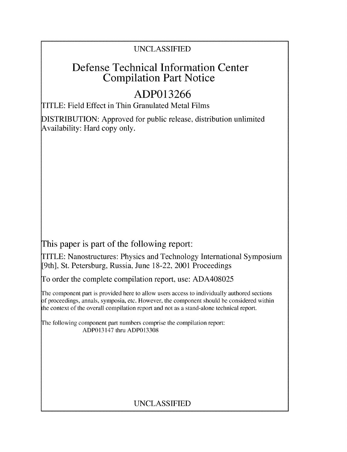### UNCLASSIFIED

## Defense Technical Information Center Compilation Part Notice

# **ADP013266**

TITLE: Field Effect in Thin Granulated Metal Films

DISTRIBUTION: Approved for public release, distribution unlimited Availability: Hard copy only.

This paper is part of the following report:

TITLE: Nanostructures: Physics and Technology International Symposium [9th], St. Petersburg, Russia, June 18-22, 2001 Proceedings

To order the complete compilation report, use: ADA408025

The component part is provided here to allow users access to individually authored sections f proceedings, annals, symposia, etc. However, the component should be considered within the context of the overall compilation report and not as a stand-alone technical report.

The following component part numbers comprise the compilation report: ADP013147 thru ADP013308

## UNCLASSIFIED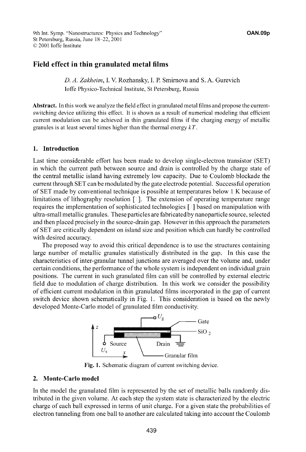9th Int. Symp. "Nanostructures: Physics and Technology" **OAN.09p** St Petersburg, Russia, June 18-22, 2001 **©O** 2001 loffe Institute

### Field effect in thin granulated metal films

*D. A. Zakheimn,* **I.** V. Rozhansky, I. P. Smirnova and S. A. Gurevich loffe Physico-Technical Institute, St Petersburg, Russia

Abstract. In this work we analyze the field effect in granulated metal films and propose the currentswitching device utilizing this effect. It is shown as a result of numerical modeling that efficient current modulation can be achieved in thin granulated films if the charging energy of metallic granules is at least several times higher than the thermal energy *kT.*

#### 1. Introduction

Last time considerable effort has been made to develop single-electron transistor (SET) in which the current path between source and drain is controlled by the charge state of the central metallic island having extremely low capacity. Due to Coulomb blockade the current through SET can be modulated by the gate electrode potential. Successful operation of SET made by conventional technique is possible at temperatures below 1 K because of limitations of lithography resolution **[ ].** The extension of operating temperature range requires the implementation of sophisticated technologies **[ ]** based on manipulation with ultra-small metallic granules. These particles are fabricatedby nanoparticle source, selected and then placed precisely in the source-drain gap. However in this approach the parameters of SET are critically dependent on island size and position which can hardly be controlled with desired accuracy.

The proposed way to avoid this critical dependence is to use the structures containing large number of metallic granules statistically distributed in the gap. In this case the characteristics of inter-granular tunnel junctions are averaged over the volume and, under certain conditions, the performance of the whole system is independent on individual grain positions. The current in such granulated film can still be controlled by external electric field due to modulation of charge distribution. In this work we consider the possibility of efficient current modulation in thin granulated films incorporated in the gap of current switch device shown schematically in Fig. 1. This consideration is based on the newly developed Monte-Carlo model of granulated film conductivity.



Fig. 1. Schematic diagram of current switching device.

#### 2. Monte-Carlo model

In the model the granulated film is represented by the set of metallic balls randomly distributed in the given volume. At each step the system state is characterized by the electric charge of each ball expressed in terms of unit charge. For a given state the probabilities of electron tunneling from one ball to another are calculated taking into account the Coulomb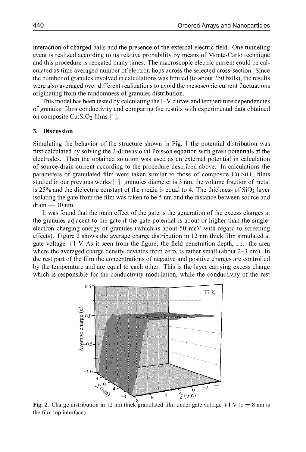interaction of charged balls and the presence of the external electric field. One tunneling event is realized according to its relative probability by means of Monte-Carlo technique and this procedure is repeated many times. The macroscopic electric current could be calculated as time averaged number of electron hops across the selected cross-section. Since the number of granules involved in calculations was limited (to about 250 balls), the results were also averaged over different realizations to avoid the mesoscopic current fluctuations originating from the randomness of granules distribution.

This model has been tested by calculating the I-V curves and temperature dependencies of granular films conductivity and comparing the results with experimental data obtained on composite **Cu:Si0 <sup>2</sup>**films [ ].

#### **3.** Discussion

Simulating the behavior of the structure shown in Fig. **1** the potential distribution was first calculated by solving the 2-dimensional Poisson equation with given potentials at the electrodes. Then the obtained solution was used as an external potential in calculation of source-drain current according to the procedure described above. In calculations the parameters of granulated film were taken similar to those of composite **Cu:Si0 <sup>2</sup>**films studied in our previous works **[ ]:** granules diameter is 3 nm, the volume fraction of metal is  $25\%$  and the dielectric constant of the media is equal to 4. The thickness of  $SiO<sub>2</sub>$  layer isolating the gate from the film was taken to be 5 nm and the distance between source and drain **- 30** nm.

It was found that the main effect of the gate is the generation of the excess charges at the granules adjacent to the gate if the gate potential is about or higher than the singleelectron charging energy of granules (which is about 50 meV with regard to screening effects). Figure 2 shows the average charge distribution in 12 nm thick film simulated at gate voltage  $+1$  V. As it seen from the figure, the field penetration depth, i.e. the area where the averaged charge density deviates from zero, is rather small (about **2-3** nm). In the rest part of the film the concentrations of negative and positive charges are controlled by the temperature and are equal to each other. This is the layer carrying excess charge which is responsible for the conductivity modulation, while the conductivity of the rest



Fig. 2. Charge distribution in 12 nm thick granulated film under gate voltage  $+1$  V ( $z = 8$  nm is the film top interface).